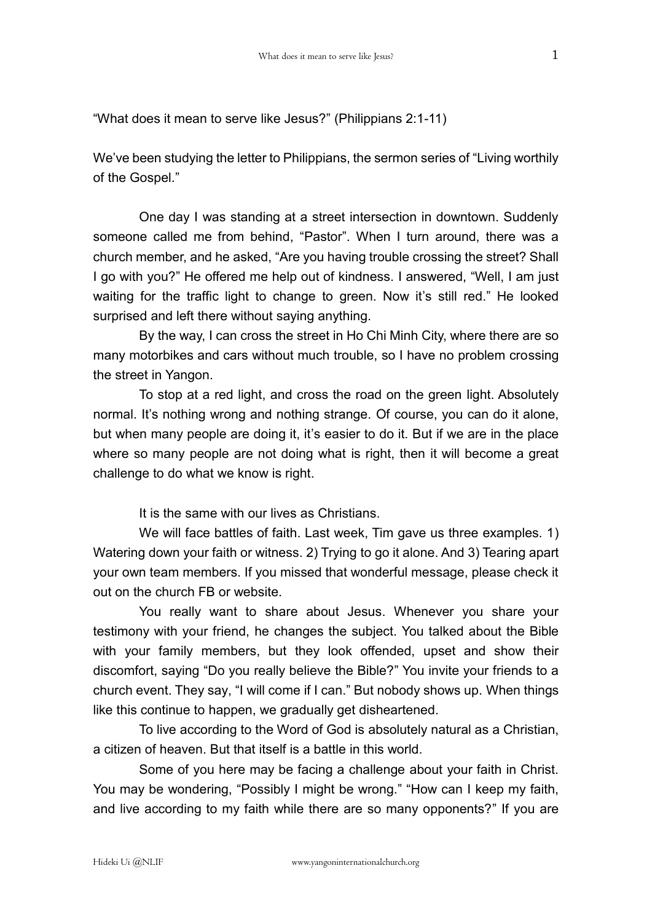"What does it mean to serve like Jesus?" (Philippians 2:1-11)

We've been studying the letter to Philippians, the sermon series of "Living worthily of the Gospel."

One day I was standing at a street intersection in downtown. Suddenly someone called me from behind, "Pastor". When I turn around, there was a church member, and he asked, "Are you having trouble crossing the street? Shall I go with you?" He offered me help out of kindness. I answered, "Well, I am just waiting for the traffic light to change to green. Now it's still red." He looked surprised and left there without saying anything.

By the way, I can cross the street in Ho Chi Minh City, where there are so many motorbikes and cars without much trouble, so I have no problem crossing the street in Yangon.

To stop at a red light, and cross the road on the green light. Absolutely normal. It's nothing wrong and nothing strange. Of course, you can do it alone, but when many people are doing it, it's easier to do it. But if we are in the place where so many people are not doing what is right, then it will become a great challenge to do what we know is right.

It is the same with our lives as Christians.

We will face battles of faith. Last week, Tim gave us three examples. 1) Watering down your faith or witness. 2) Trying to go it alone. And 3) Tearing apart your own team members. If you missed that wonderful message, please check it out on the church FB or website.

You really want to share about Jesus. Whenever you share your testimony with your friend, he changes the subject. You talked about the Bible with your family members, but they look offended, upset and show their discomfort, saying "Do you really believe the Bible?" You invite your friends to a church event. They say, "I will come if I can." But nobody shows up. When things like this continue to happen, we gradually get disheartened.

To live according to the Word of God is absolutely natural as a Christian, a citizen of heaven. But that itself is a battle in this world.

Some of you here may be facing a challenge about your faith in Christ. You may be wondering, "Possibly I might be wrong." "How can I keep my faith, and live according to my faith while there are so many opponents?" If you are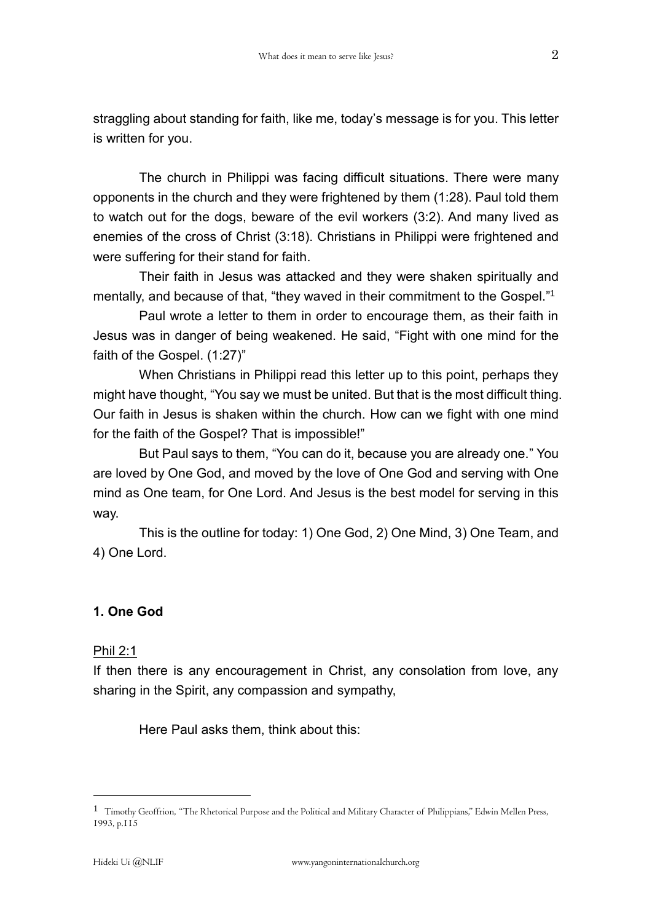straggling about standing for faith, like me, today's message is for you. This letter is written for you.

The church in Philippi was facing difficult situations. There were many opponents in the church and they were frightened by them (1:28). Paul told them to watch out for the dogs, beware of the evil workers (3:2). And many lived as enemies of the cross of Christ (3:18). Christians in Philippi were frightened and were suffering for their stand for faith.

Their faith in Jesus was attacked and they were shaken spiritually and mentally, and because of that, "they waved in their commitment to the Gospel."<sup>1</sup>

Paul wrote a letter to them in order to encourage them, as their faith in Jesus was in danger of being weakened. He said, "Fight with one mind for the faith of the Gospel. (1:27)"

When Christians in Philippi read this letter up to this point, perhaps they might have thought, "You say we must be united. But that is the most difficult thing. Our faith in Jesus is shaken within the church. How can we fight with one mind for the faith of the Gospel? That is impossible!"

But Paul says to them, "You can do it, because you are already one." You are loved by One God, and moved by the love of One God and serving with One mind as One team, for One Lord. And Jesus is the best model for serving in this way.

This is the outline for today: 1) One God, 2) One Mind, 3) One Team, and 4) One Lord.

# **1. One God**

### Phil 2:1

If then there is any encouragement in Christ, any consolation from love, any sharing in the Spirit, any compassion and sympathy,

Here Paul asks them, think about this:

 $\overline{a}$ 

<sup>1</sup> Timothy Geoffrion, "The Rhetorical Purpose and the Political and Military Character of Philippians," Edwin Mellen Press, 1993, p.115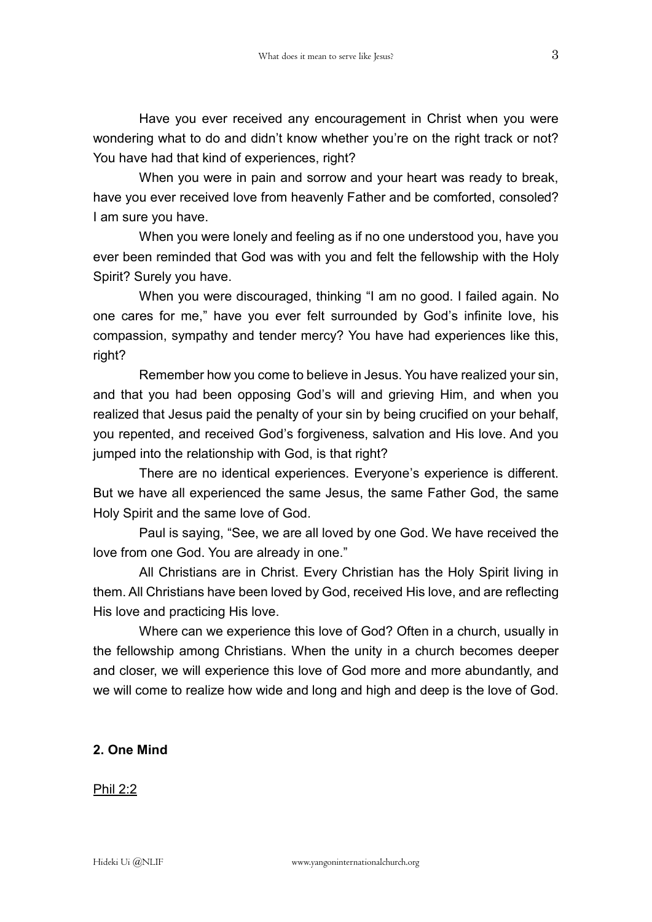Have you ever received any encouragement in Christ when you were wondering what to do and didn't know whether you're on the right track or not? You have had that kind of experiences, right?

When you were in pain and sorrow and your heart was ready to break, have you ever received love from heavenly Father and be comforted, consoled? I am sure you have.

When you were lonely and feeling as if no one understood you, have you ever been reminded that God was with you and felt the fellowship with the Holy Spirit? Surely you have.

When you were discouraged, thinking "I am no good. I failed again. No one cares for me," have you ever felt surrounded by God's infinite love, his compassion, sympathy and tender mercy? You have had experiences like this, right?

Remember how you come to believe in Jesus. You have realized your sin, and that you had been opposing God's will and grieving Him, and when you realized that Jesus paid the penalty of your sin by being crucified on your behalf, you repented, and received God's forgiveness, salvation and His love. And you jumped into the relationship with God, is that right?

There are no identical experiences. Everyone's experience is different. But we have all experienced the same Jesus, the same Father God, the same Holy Spirit and the same love of God.

Paul is saying, "See, we are all loved by one God. We have received the love from one God. You are already in one."

All Christians are in Christ. Every Christian has the Holy Spirit living in them. All Christians have been loved by God, received His love, and are reflecting His love and practicing His love.

Where can we experience this love of God? Often in a church, usually in the fellowship among Christians. When the unity in a church becomes deeper and closer, we will experience this love of God more and more abundantly, and we will come to realize how wide and long and high and deep is the love of God.

#### **2. One Mind**

#### Phil 2:2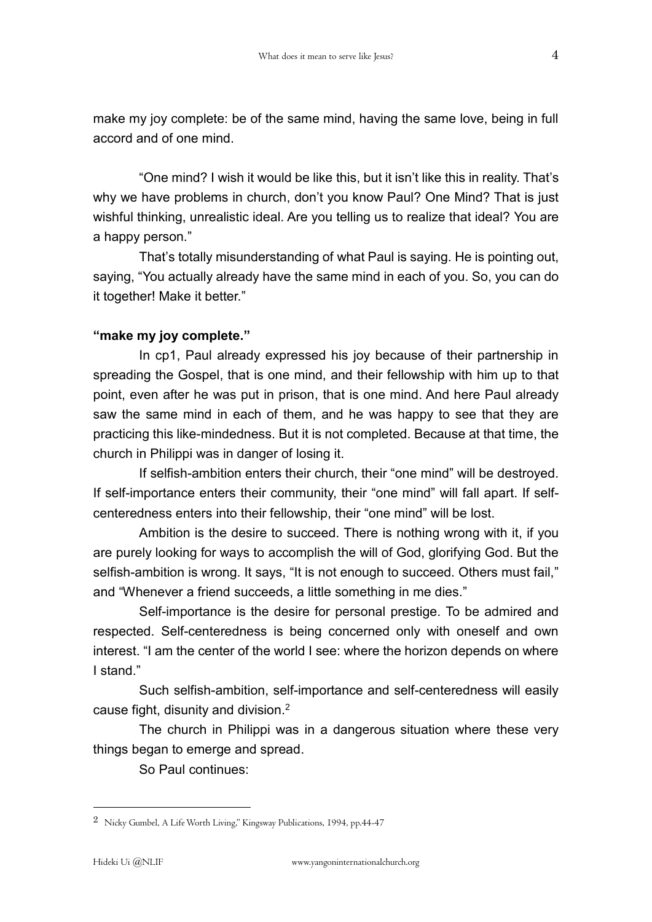make my joy complete: be of the same mind, having the same love, being in full accord and of one mind.

"One mind? I wish it would be like this, but it isn't like this in reality. That's why we have problems in church, don't you know Paul? One Mind? That is just wishful thinking, unrealistic ideal. Are you telling us to realize that ideal? You are a happy person."

That's totally misunderstanding of what Paul is saying. He is pointing out, saying, "You actually already have the same mind in each of you. So, you can do it together! Make it better."

#### **"make my joy complete."**

In cp1, Paul already expressed his joy because of their partnership in spreading the Gospel, that is one mind, and their fellowship with him up to that point, even after he was put in prison, that is one mind. And here Paul already saw the same mind in each of them, and he was happy to see that they are practicing this like-mindedness. But it is not completed. Because at that time, the church in Philippi was in danger of losing it.

If selfish-ambition enters their church, their "one mind" will be destroyed. If self-importance enters their community, their "one mind" will fall apart. If selfcenteredness enters into their fellowship, their "one mind" will be lost.

Ambition is the desire to succeed. There is nothing wrong with it, if you are purely looking for ways to accomplish the will of God, glorifying God. But the selfish-ambition is wrong. It says, "It is not enough to succeed. Others must fail," and "Whenever a friend succeeds, a little something in me dies."

Self-importance is the desire for personal prestige. To be admired and respected. Self-centeredness is being concerned only with oneself and own interest. "I am the center of the world I see: where the horizon depends on where I stand"

Such selfish-ambition, self-importance and self-centeredness will easily cause fight, disunity and division.<sup>2</sup>

The church in Philippi was in a dangerous situation where these very things began to emerge and spread.

So Paul continues:

1

<sup>2</sup> Nicky Gumbel, A Life Worth Living," Kingsway Publications, 1994, pp.44-47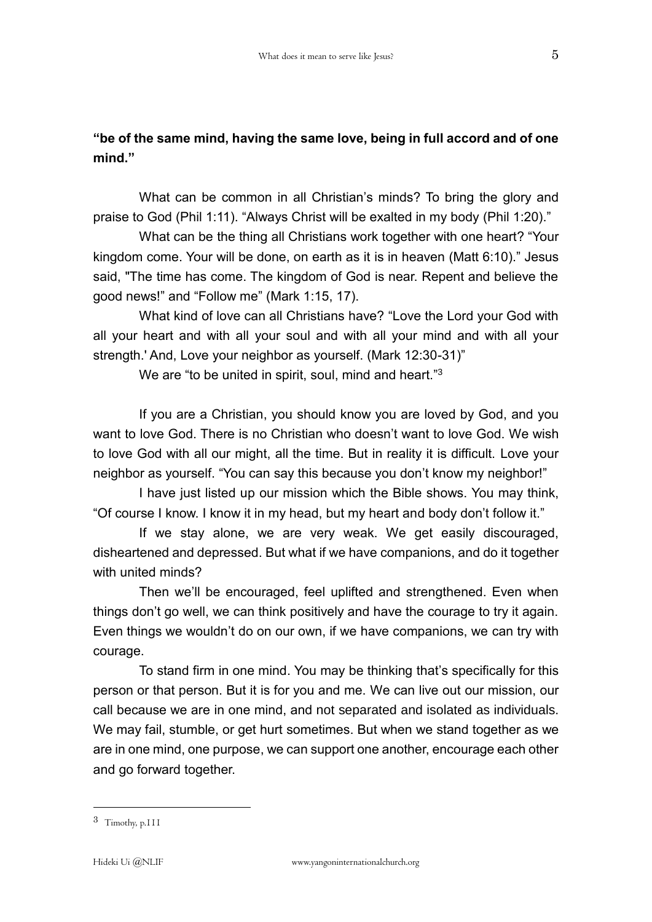# **"be of the same mind, having the same love, being in full accord and of one mind."**

What can be common in all Christian's minds? To bring the glory and praise to God (Phil 1:11). "Always Christ will be exalted in my body (Phil 1:20)."

What can be the thing all Christians work together with one heart? "Your kingdom come. Your will be done, on earth as it is in heaven (Matt 6:10)." Jesus said, "The time has come. The kingdom of God is near. Repent and believe the good news!" and "Follow me" (Mark 1:15, 17).

What kind of love can all Christians have? "Love the Lord your God with all your heart and with all your soul and with all your mind and with all your strength.' And, Love your neighbor as yourself. (Mark 12:30-31)"

We are "to be united in spirit, soul, mind and heart."<sup>3</sup>

If you are a Christian, you should know you are loved by God, and you want to love God. There is no Christian who doesn't want to love God. We wish to love God with all our might, all the time. But in reality it is difficult. Love your neighbor as yourself. "You can say this because you don't know my neighbor!"

I have just listed up our mission which the Bible shows. You may think, "Of course I know. I know it in my head, but my heart and body don't follow it."

If we stay alone, we are very weak. We get easily discouraged, disheartened and depressed. But what if we have companions, and do it together with united minds?

Then we'll be encouraged, feel uplifted and strengthened. Even when things don't go well, we can think positively and have the courage to try it again. Even things we wouldn't do on our own, if we have companions, we can try with courage.

To stand firm in one mind. You may be thinking that's specifically for this person or that person. But it is for you and me. We can live out our mission, our call because we are in one mind, and not separated and isolated as individuals. We may fail, stumble, or get hurt sometimes. But when we stand together as we are in one mind, one purpose, we can support one another, encourage each other and go forward together.

1

<sup>3</sup> Timothy, p.111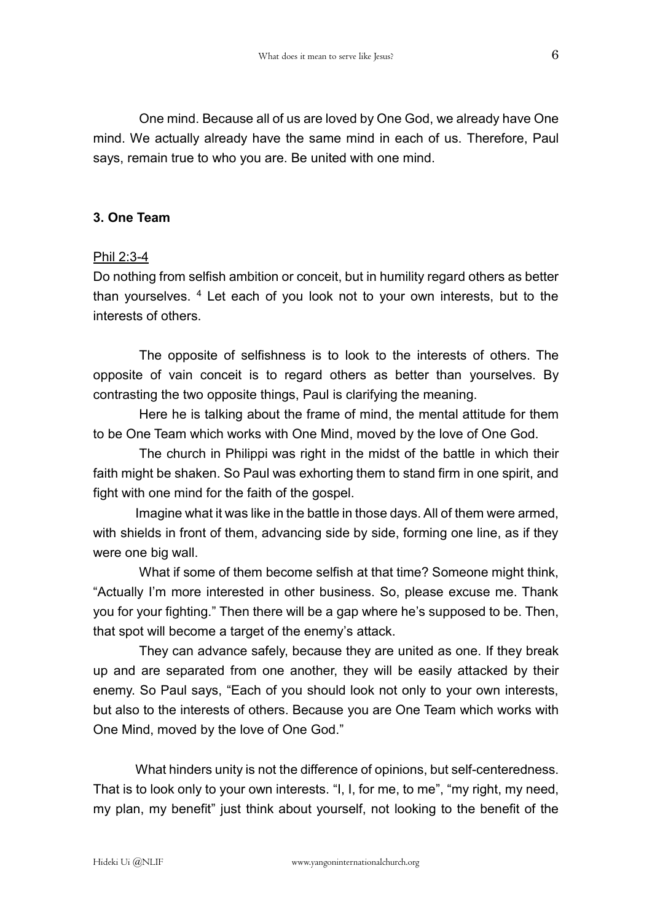One mind. Because all of us are loved by One God, we already have One mind. We actually already have the same mind in each of us. Therefore, Paul says, remain true to who you are. Be united with one mind.

## **3. One Team**

## Phil 2:3-4

Do nothing from selfish ambition or conceit, but in humility regard others as better than yourselves.  $4$  Let each of you look not to your own interests, but to the interests of others.

The opposite of selfishness is to look to the interests of others. The opposite of vain conceit is to regard others as better than yourselves. By contrasting the two opposite things, Paul is clarifying the meaning.

Here he is talking about the frame of mind, the mental attitude for them to be One Team which works with One Mind, moved by the love of One God.

The church in Philippi was right in the midst of the battle in which their faith might be shaken. So Paul was exhorting them to stand firm in one spirit, and fight with one mind for the faith of the gospel.

Imagine what it was like in the battle in those days. All of them were armed, with shields in front of them, advancing side by side, forming one line, as if they were one big wall.

What if some of them become selfish at that time? Someone might think, "Actually I'm more interested in other business. So, please excuse me. Thank you for your fighting." Then there will be a gap where he's supposed to be. Then, that spot will become a target of the enemy's attack.

They can advance safely, because they are united as one. If they break up and are separated from one another, they will be easily attacked by their enemy. So Paul says, "Each of you should look not only to your own interests, but also to the interests of others. Because you are One Team which works with One Mind, moved by the love of One God."

What hinders unity is not the difference of opinions, but self-centeredness. That is to look only to your own interests. "I, I, for me, to me", "my right, my need, my plan, my benefit" just think about yourself, not looking to the benefit of the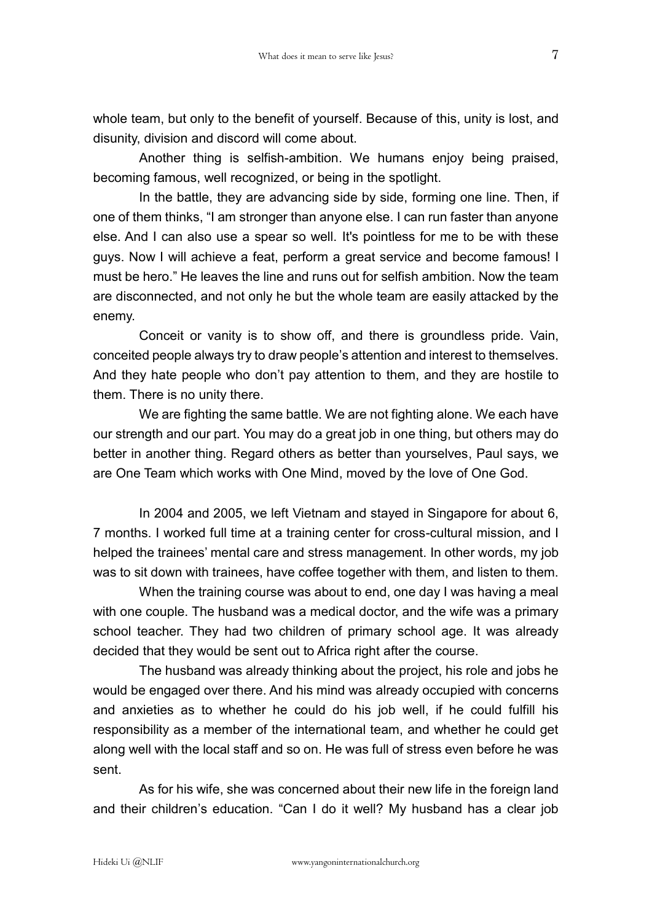whole team, but only to the benefit of yourself. Because of this, unity is lost, and disunity, division and discord will come about.

Another thing is selfish-ambition. We humans enjoy being praised, becoming famous, well recognized, or being in the spotlight.

In the battle, they are advancing side by side, forming one line. Then, if one of them thinks, "I am stronger than anyone else. I can run faster than anyone else. And I can also use a spear so well. It's pointless for me to be with these guys. Now I will achieve a feat, perform a great service and become famous! I must be hero." He leaves the line and runs out for selfish ambition. Now the team are disconnected, and not only he but the whole team are easily attacked by the enemy.

Conceit or vanity is to show off, and there is groundless pride. Vain, conceited people always try to draw people's attention and interest to themselves. And they hate people who don't pay attention to them, and they are hostile to them. There is no unity there.

We are fighting the same battle. We are not fighting alone. We each have our strength and our part. You may do a great job in one thing, but others may do better in another thing. Regard others as better than yourselves, Paul says, we are One Team which works with One Mind, moved by the love of One God.

In 2004 and 2005, we left Vietnam and stayed in Singapore for about 6, 7 months. I worked full time at a training center for cross-cultural mission, and I helped the trainees' mental care and stress management. In other words, my job was to sit down with trainees, have coffee together with them, and listen to them.

When the training course was about to end, one day I was having a meal with one couple. The husband was a medical doctor, and the wife was a primary school teacher. They had two children of primary school age. It was already decided that they would be sent out to Africa right after the course.

The husband was already thinking about the project, his role and jobs he would be engaged over there. And his mind was already occupied with concerns and anxieties as to whether he could do his job well, if he could fulfill his responsibility as a member of the international team, and whether he could get along well with the local staff and so on. He was full of stress even before he was sent.

As for his wife, she was concerned about their new life in the foreign land and their children's education. "Can I do it well? My husband has a clear job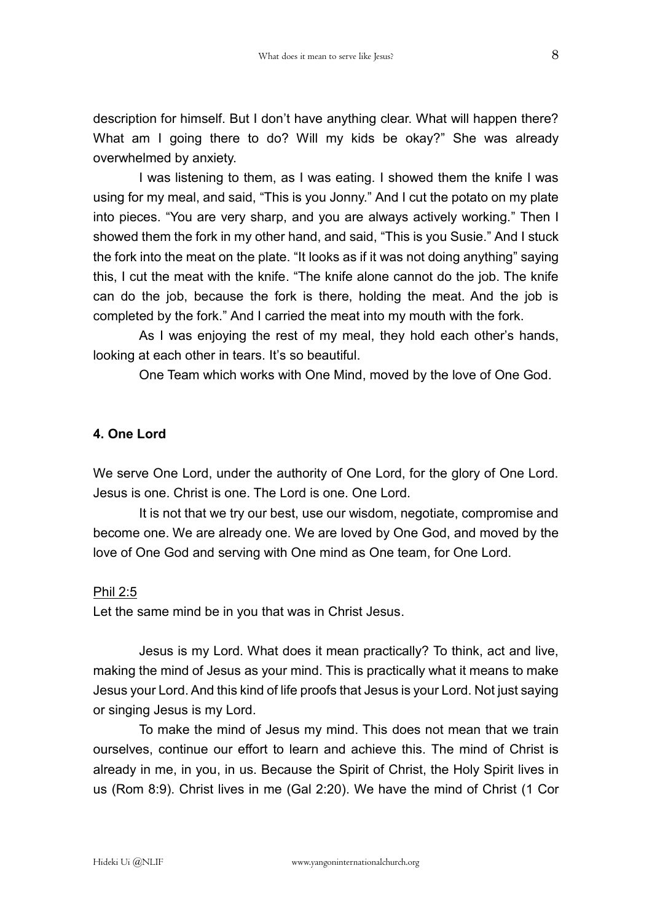description for himself. But I don't have anything clear. What will happen there? What am I going there to do? Will my kids be okay?" She was already overwhelmed by anxiety.

I was listening to them, as I was eating. I showed them the knife I was using for my meal, and said, "This is you Jonny." And I cut the potato on my plate into pieces. "You are very sharp, and you are always actively working." Then I showed them the fork in my other hand, and said, "This is you Susie." And I stuck the fork into the meat on the plate. "It looks as if it was not doing anything" saying this, I cut the meat with the knife. "The knife alone cannot do the job. The knife can do the job, because the fork is there, holding the meat. And the job is completed by the fork." And I carried the meat into my mouth with the fork.

As I was enjoying the rest of my meal, they hold each other's hands, looking at each other in tears. It's so beautiful.

One Team which works with One Mind, moved by the love of One God.

## **4. One Lord**

We serve One Lord, under the authority of One Lord, for the glory of One Lord. Jesus is one. Christ is one. The Lord is one. One Lord.

It is not that we try our best, use our wisdom, negotiate, compromise and become one. We are already one. We are loved by One God, and moved by the love of One God and serving with One mind as One team, for One Lord.

#### Phil 2:5

Let the same mind be in you that was in Christ Jesus.

Jesus is my Lord. What does it mean practically? To think, act and live, making the mind of Jesus as your mind. This is practically what it means to make Jesus your Lord. And this kind of life proofs that Jesus is your Lord. Not just saying or singing Jesus is my Lord.

To make the mind of Jesus my mind. This does not mean that we train ourselves, continue our effort to learn and achieve this. The mind of Christ is already in me, in you, in us. Because the Spirit of Christ, the Holy Spirit lives in us (Rom 8:9). Christ lives in me (Gal 2:20). We have the mind of Christ (1 Cor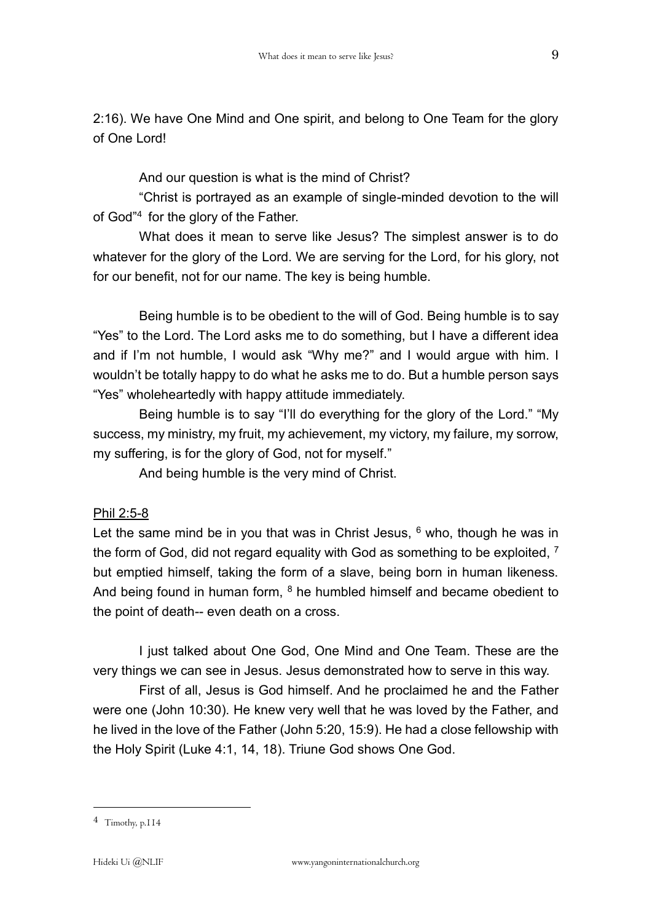2:16). We have One Mind and One spirit, and belong to One Team for the glory of One Lord!

And our question is what is the mind of Christ?

"Christ is portrayed as an example of single-minded devotion to the will of God"<sup>4</sup> for the glory of the Father.

What does it mean to serve like Jesus? The simplest answer is to do whatever for the glory of the Lord. We are serving for the Lord, for his glory, not for our benefit, not for our name. The key is being humble.

Being humble is to be obedient to the will of God. Being humble is to say "Yes" to the Lord. The Lord asks me to do something, but I have a different idea and if I'm not humble, I would ask "Why me?" and I would argue with him. I wouldn't be totally happy to do what he asks me to do. But a humble person says "Yes" wholeheartedly with happy attitude immediately.

Being humble is to say "I'll do everything for the glory of the Lord." "My success, my ministry, my fruit, my achievement, my victory, my failure, my sorrow, my suffering, is for the glory of God, not for myself."

And being humble is the very mind of Christ.

# Phil 2:5-8

Let the same mind be in you that was in Christ Jesus,  $6$  who, though he was in the form of God, did not regard equality with God as something to be exploited, <sup>7</sup> but emptied himself, taking the form of a slave, being born in human likeness. And being found in human form,  $8$  he humbled himself and became obedient to the point of death-- even death on a cross.

I just talked about One God, One Mind and One Team. These are the very things we can see in Jesus. Jesus demonstrated how to serve in this way.

First of all, Jesus is God himself. And he proclaimed he and the Father were one (John 10:30). He knew very well that he was loved by the Father, and he lived in the love of the Father (John 5:20, 15:9). He had a close fellowship with the Holy Spirit (Luke 4:1, 14, 18). Triune God shows One God.

1

<sup>4</sup> Timothy, p.114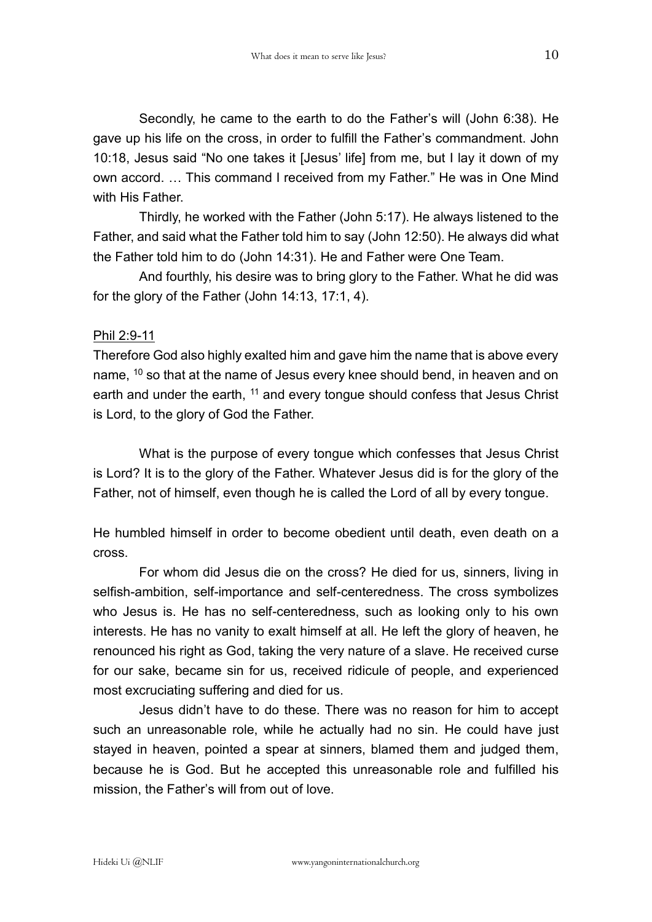Secondly, he came to the earth to do the Father's will (John 6:38). He gave up his life on the cross, in order to fulfill the Father's commandment. John 10:18, Jesus said "No one takes it [Jesus' life] from me, but I lay it down of my own accord. … This command I received from my Father." He was in One Mind with His Father.

Thirdly, he worked with the Father (John 5:17). He always listened to the Father, and said what the Father told him to say (John 12:50). He always did what the Father told him to do (John 14:31). He and Father were One Team.

And fourthly, his desire was to bring glory to the Father. What he did was for the glory of the Father (John 14:13, 17:1, 4).

# Phil 2:9-11

Therefore God also highly exalted him and gave him the name that is above every name,  $10$  so that at the name of Jesus every knee should bend, in heaven and on earth and under the earth, <sup>11</sup> and every tongue should confess that Jesus Christ is Lord, to the glory of God the Father.

What is the purpose of every tongue which confesses that Jesus Christ is Lord? It is to the glory of the Father. Whatever Jesus did is for the glory of the Father, not of himself, even though he is called the Lord of all by every tongue.

He humbled himself in order to become obedient until death, even death on a cross.

For whom did Jesus die on the cross? He died for us, sinners, living in selfish-ambition, self-importance and self-centeredness. The cross symbolizes who Jesus is. He has no self-centeredness, such as looking only to his own interests. He has no vanity to exalt himself at all. He left the glory of heaven, he renounced his right as God, taking the very nature of a slave. He received curse for our sake, became sin for us, received ridicule of people, and experienced most excruciating suffering and died for us.

Jesus didn't have to do these. There was no reason for him to accept such an unreasonable role, while he actually had no sin. He could have just stayed in heaven, pointed a spear at sinners, blamed them and judged them, because he is God. But he accepted this unreasonable role and fulfilled his mission, the Father's will from out of love.